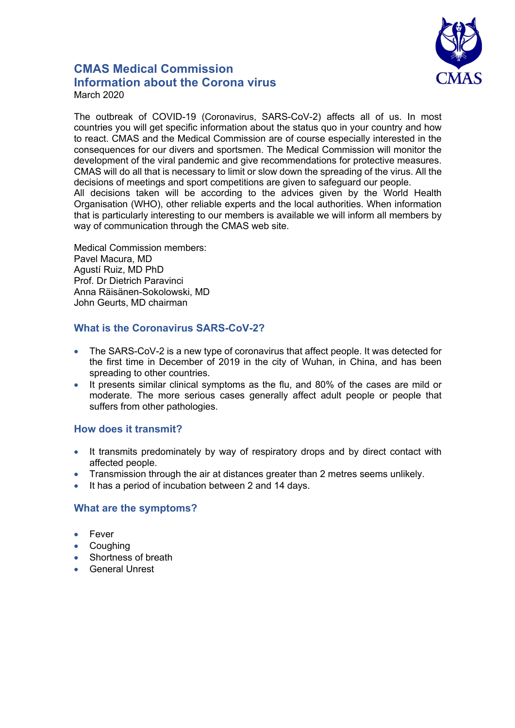

# **CMAS Medical Commission Information about the Corona virus** March 2020

The outbreak of COVID-19 (Coronavirus, SARS-CoV-2) affects all of us. In most countries you will get specific information about the status quo in your country and how to react. CMAS and the Medical Commission are of course especially interested in the consequences for our divers and sportsmen. The Medical Commission will monitor the development of the viral pandemic and give recommendations for protective measures. CMAS will do all that is necessary to limit or slow down the spreading of the virus. All the decisions of meetings and sport competitions are given to safeguard our people. All decisions taken will be according to the advices given by the World Health Organisation (WHO), other reliable experts and the local authorities. When information that is particularly interesting to our members is available we will inform all members by way of communication through the CMAS web site.

Medical Commission members: Pavel Macura, MD Agustí Ruiz, MD PhD Prof. Dr Dietrich Paravinci Anna Räisänen-Sokolowski, MD John Geurts, MD chairman

## **What is the Coronavirus SARS-CoV-2?**

- The SARS-CoV-2 is a new type of coronavirus that affect people. It was detected for the first time in December of 2019 in the city of Wuhan, in China, and has been spreading to other countries.
- It presents similar clinical symptoms as the flu, and 80% of the cases are mild or moderate. The more serious cases generally affect adult people or people that suffers from other pathologies.

## **How does it transmit?**

- It transmits predominately by way of respiratory drops and by direct contact with affected people.
- Transmission through the air at distances greater than 2 metres seems unlikely.
- It has a period of incubation between 2 and 14 days.

## **What are the symptoms?**

- Fever
- **Coughing**
- Shortness of breath
- General Unrest